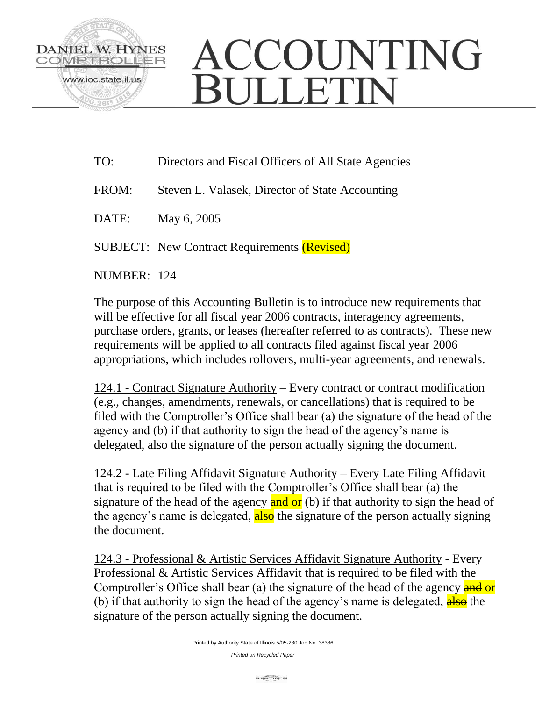

## ACCOUNTING ULLETIN

- TO: Directors and Fiscal Officers of All State Agencies
- FROM: Steven L. Valasek, Director of State Accounting
- DATE: May 6, 2005

SUBJECT: New Contract Requirements (Revised)

NUMBER: 124

The purpose of this Accounting Bulletin is to introduce new requirements that will be effective for all fiscal year 2006 contracts, interagency agreements, purchase orders, grants, or leases (hereafter referred to as contracts). These new requirements will be applied to all contracts filed against fiscal year 2006 appropriations, which includes rollovers, multi-year agreements, and renewals.

124.1 - Contract Signature Authority – Every contract or contract modification (e.g., changes, amendments, renewals, or cancellations) that is required to be filed with the Comptroller's Office shall bear (a) the signature of the head of the agency and (b) if that authority to sign the head of the agency's name is delegated, also the signature of the person actually signing the document.

124.2 - Late Filing Affidavit Signature Authority – Every Late Filing Affidavit that is required to be filed with the Comptroller's Office shall bear (a) the signature of the head of the agency  $\frac{\text{and or}}{\text{d}}$  (b) if that authority to sign the head of the agency's name is delegated, also the signature of the person actually signing the document.

124.3 - Professional & Artistic Services Affidavit Signature Authority - Every Professional & Artistic Services Affidavit that is required to be filed with the Comptroller's Office shall bear (a) the signature of the head of the agency and or (b) if that authority to sign the head of the agency's name is delegated,  $\frac{\text{also}}{\text{also}}$  the signature of the person actually signing the document.

*Printed on Recycled Paper*